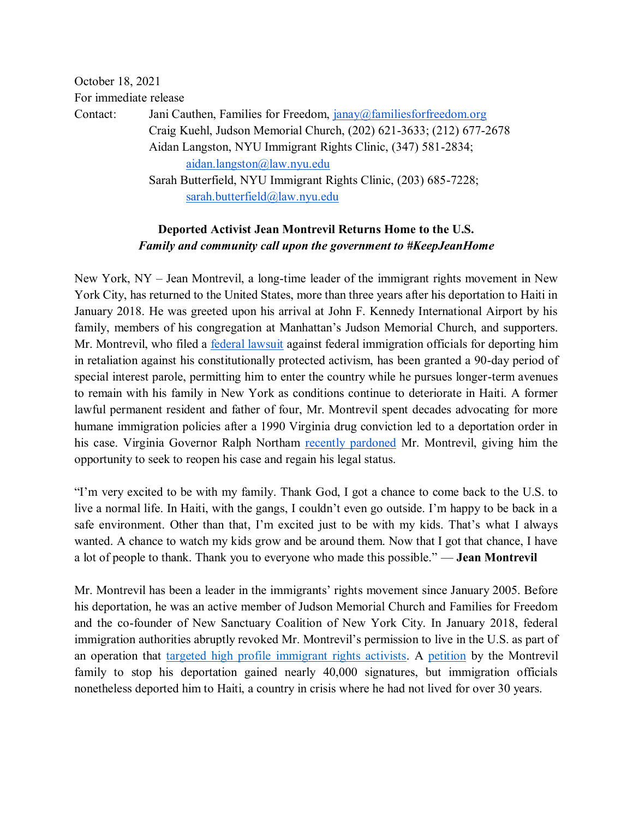October 18, 2021 For immediate release Contact: Jani Cauthen, Families for Freedom, [janay@familiesforfreedom.org](mailto:janay@familiesforfreedom.org) Craig Kuehl, Judson Memorial Church, (202) 621-3633; (212) 677-2678 Aidan Langston, NYU Immigrant Rights Clinic, (347) 581-2834; [aidan.langston@law.nyu.edu](mailto:aidan.langston@law.nyu.edu) Sarah Butterfield, NYU Immigrant Rights Clinic, (203) 685-7228; [sarah.butterfield@law.nyu.edu](mailto:sarah.butterfield@law.nyu.edu) 

## **Deported Activist Jean Montrevil Returns Home to the U.S.** *Family and community call upon the government to #KeepJeanHome*

New York, NY – Jean Montrevil, a long-time leader of the immigrant rights movement in New York City, has returned to the United States, more than three years after his deportation to Haiti in January 2018. He was greeted upon his arrival at John F. Kennedy International Airport by his family, members of his congregation at Manhattan's Judson Memorial Church, and supporters. Mr. Montrevil, who filed a [federal lawsuit](https://www.documentcloud.org/documents/6658356-Deported-Activist-Jean-Montrevil-s-Lawsuit.html) against federal immigration officials for deporting him in retaliation against his constitutionally protected activism, has been granted a 90-day period of special interest parole, permitting him to enter the country while he pursues longer-term avenues to remain with his family in New York as conditions continue to deteriorate in Haiti. A former lawful permanent resident and father of four, Mr. Montrevil spent decades advocating for more humane immigration policies after a 1990 Virginia drug conviction led to a deportation order in his case. Virginia Governor Ralph Northam [recently pardoned](https://indypendent.org/2021/09/i-always-wanted-to-be-with-my-kids/) Mr. Montrevil, giving him the opportunity to seek to reopen his case and regain his legal status.

"I'm very excited to be with my family. Thank God, I got a chance to come back to the U.S. to live a normal life. In Haiti, with the gangs, I couldn't even go outside. I'm happy to be back in a safe environment. Other than that, I'm excited just to be with my kids. That's what I always wanted. A chance to watch my kids grow and be around them. Now that I got that chance, I have a lot of people to thank. Thank you to everyone who made this possible." — **Jean Montrevil**

Mr. Montrevil has been a leader in the immigrants' rights movement since January 2005. Before his deportation, he was an active member of Judson Memorial Church and Families for Freedom and the co-founder of New Sanctuary Coalition of New York City. In January 2018, federal immigration authorities abruptly revoked Mr. Montrevil's permission to live in the U.S. as part of an operation that [targeted high profile immigrant rights activists.](https://theintercept.com/2020/01/16/jean-montrevil-deportation-first-amendment/) [A](https://www.change.org/p/scott-mechkowski-free-jean-montrevil) [petition](https://www.change.org/p/scott-mechkowski-free-jean-montrevil) by the Montrevil family to stop his deportation gained nearly 40,000 signatures, but immigration officials nonetheless deported him to Haiti, a country in crisis where he had not lived for over 30 years.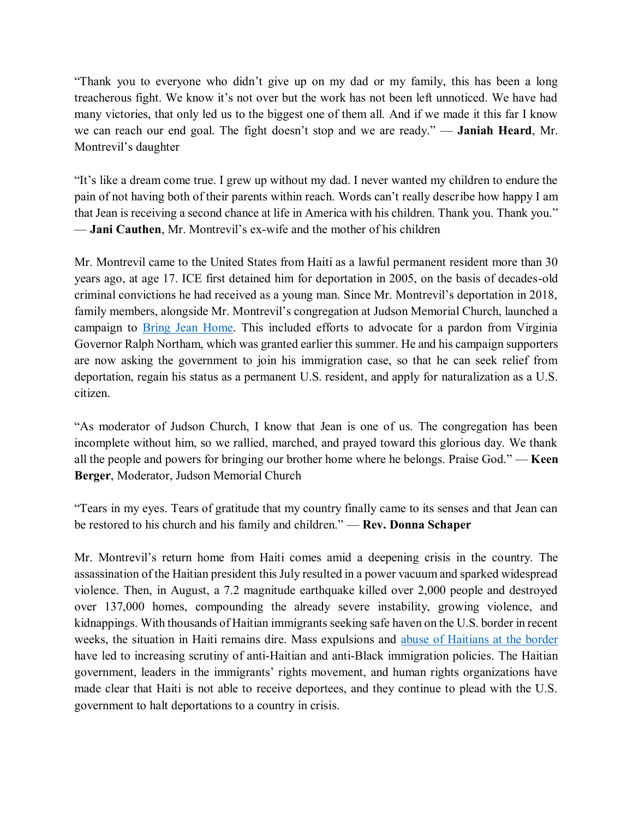"Thank you to everyone who didn't give up on my dad or my family, this has been a long treacherous fight. We know it's not over but the work has not been left unnoticed. We have had many victories, that only led us to the biggest one of them all. And if we made it this far I know we can reach our end goal. The fight doesn't stop and we are ready." — **Janiah Heard**, Mr. Montrevil's daughter

"It's like a dream come true. I grew up without my dad. I never wanted my children to endure the pain of not having both of their parents within reach. Words can't really describe how happy I am that Jean is receiving a second chance at life in America with his children. Thank you. Thank you." — **Jani Cauthen**, Mr. Montrevil's ex-wife and the mother of his children

Mr. Montrevil came to the United States from Haiti as a lawful permanent resident more than 30 years ago, at age 17. ICE first detained him for deportation in 2005, on the basis of decades-old criminal convictions he had received as a young man. Since Mr. Montrevil's deportation in 2018, family members, alongside Mr. Montrevil's congregation at Judson Memorial Church, launched a campaign to **Bring Jean Home**. This included efforts to advocate for a pardon from Virginia Governor Ralph Northam, which was granted earlier this summer. He and his campaign supporters are now asking the government to join his immigration case, so that he can seek relief from deportation, regain his status as a permanent U.S. resident, and apply for naturalization as a U.S. citizen.

"As moderator of Judson Church, I know that Jean is one of us. The congregation has been incomplete without him, so we rallied, marched, and prayed toward this glorious day. We thank all the people and powers for bringing our brother home where he belongs. Praise God." — **Keen Berger**, Moderator, Judson Memorial Church

"Tears in my eyes. Tears of gratitude that my country finally came to its senses and that Jean can be restored to his church and his family and children." — **Rev. Donna Schaper**

Mr. Montrevil's return home from Haiti comes amid a deepening crisis in the country. The assassination of the Haitian president this July resulted in a power vacuum and sparked widespread violence. Then, in August, a 7.2 magnitude earthquake killed over 2,000 people and destroyed over 137,000 homes, compounding the already severe instability, growing violence, and kidnappings. With thousands of Haitian immigrants seeking safe haven on the U.S. border in recent weeks, the situation in Haiti remains dire. Mass expulsions and [abuse of Haitians at the border](https://www.nytimes.com/2021/09/21/us/politics/haitians-border-patrol-photos.html) have led to increasing scrutiny of anti-Haitian and anti-Black immigration policies. The Haitian government, leaders in the immigrants' rights movement, and human rights organizations have made clear that Haiti is not able to receive deportees, and they continue to plead with the U.S. government to halt deportations to a country in crisis.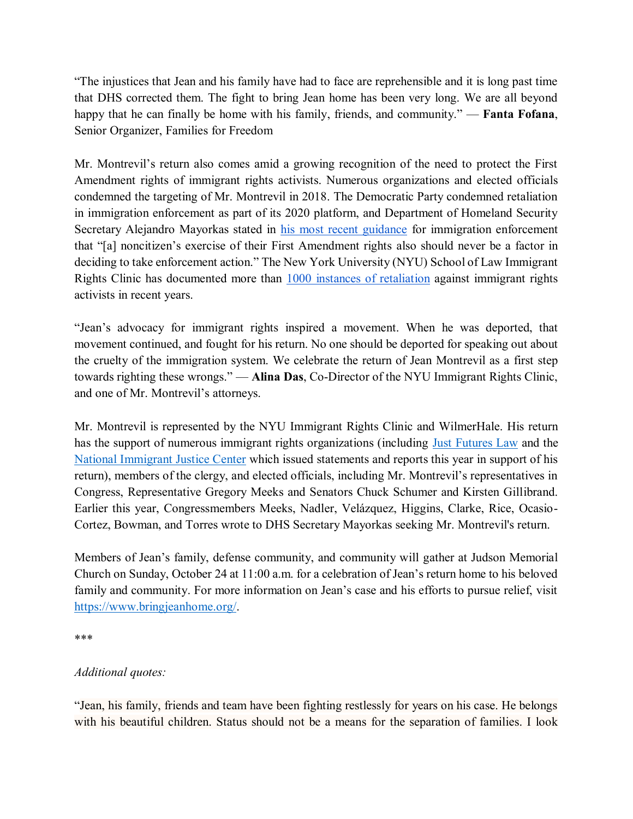"The injustices that Jean and his family have had to face are reprehensible and it is long past time that DHS corrected them. The fight to bring Jean home has been very long. We are all beyond happy that he can finally be home with his family, friends, and community." — **Fanta Fofana**, Senior Organizer, Families for Freedom

Mr. Montrevil's return also comes amid a growing recognition of the need to protect the First Amendment rights of immigrant rights activists. Numerous organizations and elected officials condemned the targeting of Mr. Montrevil in 2018. The Democratic Party condemned retaliation in immigration enforcement as part of its 2020 platform, and Department of Homeland Security Secretary Alejandro Mayorkas stated in [his most recent guidance](https://www.ice.gov/doclib/news/guidelines-civilimmigrationlaw.pdf) for immigration enforcement that "[a] noncitizen's exercise of their First Amendment rights also should never be a factor in deciding to take enforcement action." The New York University (NYU) School of Law Immigrant Rights Clinic has documented more than [1000 instances of retaliation](https://www.immigrantrightsvoices.org/#/) against immigrant rights activists in recent years.

"Jean's advocacy for immigrant rights inspired a movement. When he was deported, that movement continued, and fought for his return. No one should be deported for speaking out about the cruelty of the immigration system. We celebrate the return of Jean Montrevil as a first step towards righting these wrongs." — **Alina Das**, Co-Director of the NYU Immigrant Rights Clinic, and one of Mr. Montrevil's attorneys.

Mr. Montrevil is represented by the NYU Immigrant Rights Clinic and WilmerHale. His return has the support of numerous immigrant rights organizations (including [Just Futures Law](https://justfutureslaw.org/wp-content/uploads/2021/02/FINAL-Top-Biden-Admin-Demands-on-Retaliation-related-to-PD.pdf) and th[e](https://immigrantjustice.org/sites/default/files/uploaded-files/no-content-type/2021-04/Chance-to-Come-Home_Executive-Summary_NIJC-April2021.pdf) [National Immigrant Justice Center](https://immigrantjustice.org/sites/default/files/uploaded-files/no-content-type/2021-04/Chance-to-Come-Home_Executive-Summary_NIJC-April2021.pdf) which issued statements and reports this year in support of his return), members of the clergy, and elected officials, including Mr. Montrevil's representatives in Congress, Representative Gregory Meeks and Senators Chuck Schumer and Kirsten Gillibrand. Earlier this year, Congressmembers Meeks, Nadler, Velázquez, Higgins, Clarke, Rice, Ocasio-Cortez, Bowman, and Torres wrote to DHS Secretary Mayorkas seeking Mr. Montrevil's return.

Members of Jean's family, defense community, and community will gather at Judson Memorial Church on Sunday, October 24 at 11:00 a.m. for a celebration of Jean's return home to his beloved family and community. For more information on Jean's case and his efforts to pursue relief, visi[t](https://www.bringjeanhome.org/) [https://www.bringjeanhome.org/.](https://www.bringjeanhome.org/)

## \*\*\*

## *Additional quotes:*

"Jean, his family, friends and team have been fighting restlessly for years on his case. He belongs with his beautiful children. Status should not be a means for the separation of families. I look